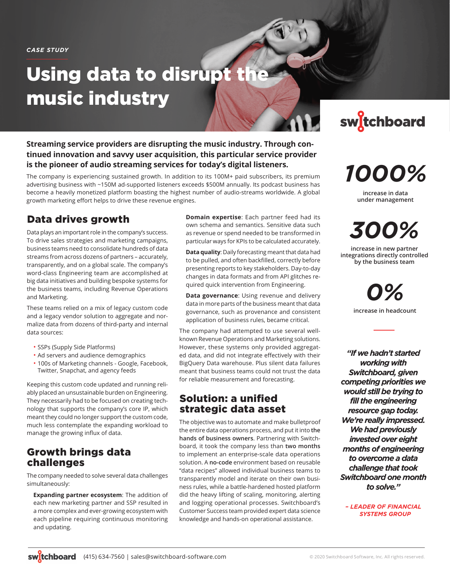*CASE STUDY*

# Using data to disrupt the music industry

**Streaming service providers are disrupting the music industry. Through continued innovation and savvy user acquisition, this particular service provider is the pioneer of audio streaming services for today's digital listeners.** 

The company is experiencing sustained growth. In addition to its 100M+ paid subscribers, its premium advertising business with ~150M ad-supported listeners exceeds \$500M annually. Its podcast business has become a heavily monetized platform boasting the highest number of audio-streams worldwide. A global growth marketing effort helps to drive these revenue engines.

## Data drives growth

Data plays an important role in the company's success. To drive sales strategies and marketing campaigns, business teams need to consolidate hundreds of data streams from across dozens of partners – accurately, transparently, and on a global scale. The company's word-class Engineering team are accomplished at big data initiatives and building bespoke systems for the business teams, including Revenue Operations and Marketing.

These teams relied on a mix of legacy custom code and a legacy vendor solution to aggregate and normalize data from dozens of third-party and internal data sources:

- SSPs (Supply Side Platforms)
- Ad servers and audience demographics
- 100s of Marketing channels Google, Facebook, Twitter, Snapchat, and agency feeds

Keeping this custom code updated and running reliably placed an unsustainable burden on Engineering. They necessarily had to be focused on creating technology that supports the company's core IP, which meant they could no longer support the custom code, much less contemplate the expanding workload to manage the growing influx of data.

## Growth brings data challenges

The company needed to solve several data challenges simultaneously:

**Expanding partner ecosystem**: The addition of each new marketing partner and SSP resulted in a more complex and ever-growing ecosystem with each pipeline requiring continuous monitoring and updating.

**Domain expertise**: Each partner feed had its own schema and semantics. Sensitive data such as revenue or spend needed to be transformed in particular ways for KPIs to be calculated accurately.

**Data quality**: Daily forecasting meant that data had to be pulled, and often backfilled, correctly before presenting reports to key stakeholders. Day-to-day changes in data formats and from API glitches required quick intervention from Engineering.

**Data governance**: Using revenue and delivery data in more parts of the business meant that data governance, such as provenance and consistent application of business rules, became critical.

The company had attempted to use several wellknown Revenue Operations and Marketing solutions. However, these systems only provided aggregated data, and did not integrate effectively with their BigQuery Data warehouse. Plus silent data failures meant that business teams could not trust the data for reliable measurement and forecasting.

### Solution: a unified strategic data asset

The objective was to automate and make bulletproof the entire data operations process, and put it into **the hands of business owners**. Partnering with Switchboard, it took the company less than **two months**  to implement an enterprise-scale data operations solution. A **no-code** environment based on reusable "data recipes" allowed individual business teams to transparently model and iterate on their own business rules, while a battle-hardened hosted platform did the heavy lifting of scaling, monitoring, alerting and logging operational processes. Switchboard's Customer Success team provided expert data science knowledge and hands-on operational assistance.



*1000%*

**increase in data under management**

*300%* **increase in new partner** 

**integrations directly controlled by the business team**

> *0%* **increase in headcount**

*"If we hadn't started working with Switchboard, given competing priorities we would still be trying to fill the engineering resource gap today. We're really impressed. We had previously invested over eight months of engineering to overcome a data challenge that took Switchboard one month to solve."* 

*– LEADER OF FINANCIAL SYSTEMS GROUP*